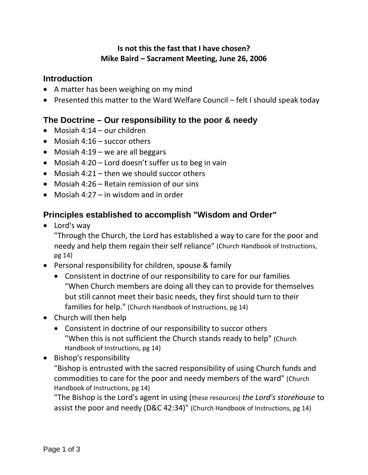#### **Is not this the fast that I have chosen? Mike Baird – Sacrament Meeting, June 26, 2006**

#### **Introduction**

- A matter has been weighing on my mind
- Presented this matter to the Ward Welfare Council felt I should speak today

## **The Doctrine – Our responsibility to the poor & needy**

- Mosiah 4:14 our children
- Mosiah 4:16 succor others
- Mosiah 4:19 we are all beggars
- Mosiah 4:20 Lord doesn't suffer us to beg in vain
- Mosiah 4:21 then we should succor others
- Mosiah 4:26 Retain remission of our sins
- Mosiah 4:27 in wisdom and in order

## **Principles established to accomplish "Wisdom and Order"**

• Lord's way

"Through the Church, the Lord has established a way to care for the poor and needy and help them regain their self reliance" (Church Handbook of Instructions, pg 14)

- Personal responsibility for children, spouse & family
	- Consistent in doctrine of our responsibility to care for our families "When Church members are doing all they can to provide for themselves but still cannot meet their basic needs, they first should turn to their families for help." (Church Handbook of Instructions, pg 14)
- Church will then help
	- Consistent in doctrine of our responsibility to succor others "When this is not sufficient the Church stands ready to help" (Church Handbook of Instructions, pg 14)
- Bishop's responsibility

"Bishop is entrusted with the sacred responsibility of using Church funds and commodities to care for the poor and needy members of the ward" (Church Handbook of Instructions, pg 14)

"The Bishop is the Lord's agent in using (these resources) *the Lord's storehouse* to assist the poor and needy (D&C 42:34)" (Church Handbook of Instructions, pg 14)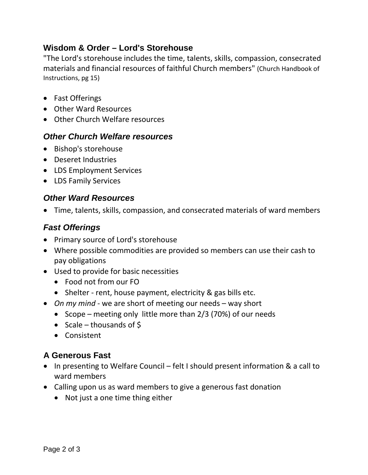## **Wisdom & Order – Lord's Storehouse**

"The Lord's storehouse includes the time, talents, skills, compassion, consecrated materials and financial resources of faithful Church members" (Church Handbook of Instructions, pg 15)

- Fast Offerings
- Other Ward Resources
- Other Church Welfare resources

#### *Other Church Welfare resources*

- Bishop's storehouse
- Deseret Industries
- LDS Employment Services
- LDS Family Services

#### *Other Ward Resources*

• Time, talents, skills, compassion, and consecrated materials of ward members

### *Fast Offerings*

- Primary source of Lord's storehouse
- Where possible commodities are provided so members can use their cash to pay obligations
- Used to provide for basic necessities
	- Food not from our FO
	- Shelter rent, house payment, electricity & gas bills etc.
- *On my mind*  we are short of meeting our needs way short
	- Scope meeting only little more than 2/3 (70%) of our needs
	- Scale thousands of \$
	- Consistent

## **A Generous Fast**

- In presenting to Welfare Council felt I should present information & a call to ward members
- Calling upon us as ward members to give a generous fast donation
	- Not just a one time thing either